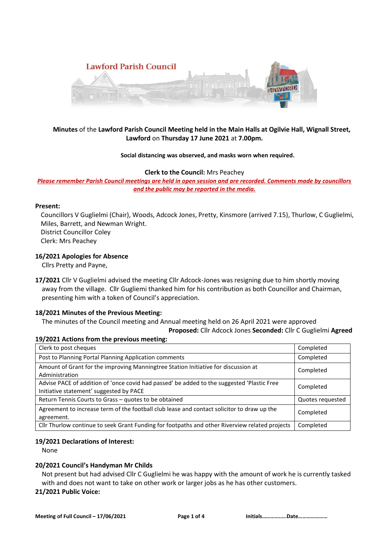

# **Minutes** of the **Lawford Parish Council Meeting held in the Main Halls at Ogilvie Hall, Wignall Street, Lawford** on **Thursday 17 June 2021** at **7.00pm.**

### **Social distancing was observed, and masks worn when required.**

### **Clerk to the Council:** Mrs Peachey

*Please remember Parish Council meetings are held in open session and are recorded. Comments made by councillors and the public may be reported in the media.* 

### **Present:**

Councillors V Guglielmi (Chair), Woods, Adcock Jones, Pretty, Kinsmore (arrived 7.15), Thurlow, C Guglielmi, Miles, Barrett, and Newman Wright. District Councillor Coley

Clerk: Mrs Peachey

## **16/2021 Apologies for Absence**

Cllrs Pretty and Payne,

**17/2021** Cllr V Guglielmi advised the meeting Cllr Adcock-Jones was resigning due to him shortly moving away from the village. Cllr Gugliemi thanked him for his contribution as both Councillor and Chairman, presenting him with a token of Council's appreciation.

## **18/2021 Minutes of the Previous Meeting:**

 The minutes of the Council meeting and Annual meeting held on 26 April 2021 were approved  **Proposed:** Cllr Adcock Jones **Seconded:** Cllr C Guglielmi **Agreed**

## **19/2021 Actions from the previous meeting:**

| Clerk to post cheques                                                                                                                 | Completed        |
|---------------------------------------------------------------------------------------------------------------------------------------|------------------|
| Post to Planning Portal Planning Application comments                                                                                 | Completed        |
| Amount of Grant for the improving Manningtree Station Initiative for discussion at<br>Administration                                  | Completed        |
| Advise PACE of addition of 'once covid had passed' be added to the suggested 'Plastic Free<br>Initiative statement' suggested by PACE | Completed        |
| Return Tennis Courts to Grass - quotes to be obtained                                                                                 | Quotes requested |
| Agreement to increase term of the football club lease and contact solicitor to draw up the<br>agreement.                              | Completed        |
| Cllr Thurlow continue to seek Grant Funding for footpaths and other Riverview related projects                                        | Completed        |

## **19/2021 Declarations of Interest:**

None

## **20/2021 Council's Handyman Mr Childs**

Not present but had advised Cllr C Guglielmi he was happy with the amount of work he is currently tasked with and does not want to take on other work or larger jobs as he has other customers.

## **21/2021 Public Voice:**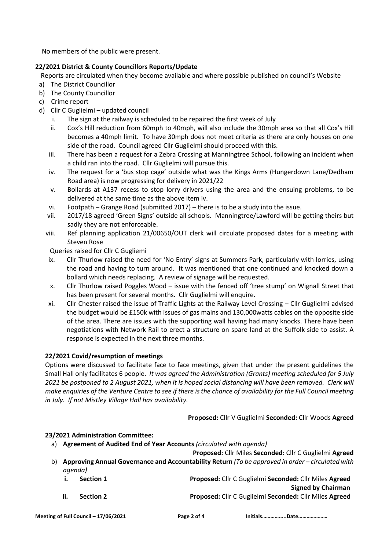No members of the public were present.

# **22/2021 District & County Councillors Reports/Update**

Reports are circulated when they become available and where possible published on council's Website

- a) The District Councillor
- b) The County Councillor
- c) Crime report
- d) Cllr C Guglielmi updated council
	- i. The sign at the railway is scheduled to be repaired the first week of July
	- ii. Cox's Hill reduction from 60mph to 40mph, will also include the 30mph area so that all Cox's Hill becomes a 40mph limit. To have 30mph does not meet criteria as there are only houses on one side of the road. Council agreed Cllr Guglielmi should proceed with this.
	- iii. There has been a request for a Zebra Crossing at Manningtree School, following an incident when a child ran into the road. Cllr Guglielmi will pursue this.
	- iv. The request for a 'bus stop cage' outside what was the Kings Arms (Hungerdown Lane/Dedham Road area) is now progressing for delivery in 2021/22
	- v. Bollards at A137 recess to stop lorry drivers using the area and the ensuing problems, to be delivered at the same time as the above item iv.
	- vi. Footpath Grange Road (submitted 2017) there is to be a study into the issue.
	- vii. 2017/18 agreed 'Green Signs' outside all schools. Manningtree/Lawford will be getting theirs but sadly they are not enforceable.
	- viii. Ref planning application 21/00650/OUT clerk will circulate proposed dates for a meeting with Steven Rose

Queries raised for Cllr C Gugliemi

- ix. Cllr Thurlow raised the need for 'No Entry' signs at Summers Park, particularly with lorries, using the road and having to turn around. It was mentioned that one continued and knocked down a bollard which needs replacing. A review of signage will be requested.
- x. Cllr Thurlow raised Poggles Wood issue with the fenced off 'tree stump' on Wignall Street that has been present for several months. Cllr Guglielmi will enquire.
- xi. Cllr Chester raised the issue of Traffic Lights at the Railway Level Crossing Cllr Guglielmi advised the budget would be £150k with issues of gas mains and 130,000watts cables on the opposite side of the area. There are issues with the supporting wall having had many knocks. There have been negotiations with Network Rail to erect a structure on spare land at the Suffolk side to assist. A response is expected in the next three months.

# **22/2021 Covid/resumption of meetings**

Options were discussed to facilitate face to face meetings, given that under the present guidelines the Small Hall only facilitates 6 people. *It was agreed the Administration (Grants) meeting scheduled for 5 July 2021 be postponed to 2 August 2021, when it is hoped social distancing will have been removed. Clerk will make enquiries of the Venture Centre to see if there is the chance of availability for the Full Council meeting in July. If not Mistley Village Hall has availability.* 

**Proposed:** Cllr V Guglielmi **Seconded:** Cllr Woods **Agreed**

# **23/2021 Administration Committee:**

- a) **Agreement of Audited End of Year Accounts** *(circulated with agenda)*
- **Proposed:** Cllr Miles **Seconded:** Cllr C Guglielmi **Agreed** b) **Approving Annual Governance and Accountability Return** *(To be approved in order – circulated with agenda)*
	- **i. Section 1 Proposed:** Cllr C Guglielmi **Seconded:** Cllr Miles **Agreed Signed by Chairman**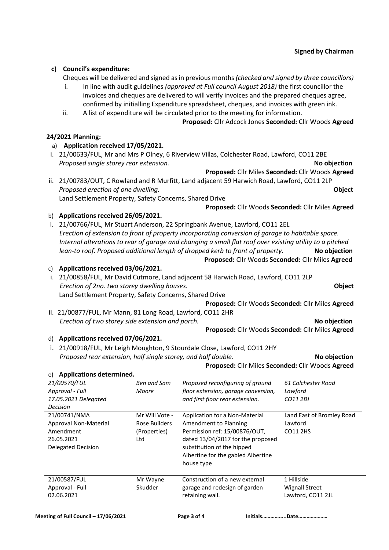## **c) Council's expenditure:**

Cheques will be delivered and signed as in previous months *(checked and signed by three councillors)* 

- i. In line with audit guidelines *(approved at Full council August 2018)* the first councillor the invoices and cheques are delivered to will verify invoices and the prepared cheques agree, confirmed by initialling Expenditure spreadsheet, cheques, and invoices with green ink.
- ii. A list of expenditure will be circulated prior to the meeting for information.

### **Proposed:** Cllr Adcock Jones **Seconded:** Cllr Woods **Agreed**

## **24/2021 Planning:**

### a) **Application received 17/05/2021.**

i. 21/00633/FUL, Mr and Mrs P Olney, 6 Riverview Villas, Colchester Road, Lawford, CO11 2BE  *Proposed single storey rear extension.* **No objection**

**Proposed:** Cllr Miles **Seconded:** Cllr Woods **Agreed**

**Proposed:** Cllr Woods **Seconded:** Cllr Miles **Agreed**

ii. 21/00783/OUT, C Rowland and R Murfitt, Land adjacent 59 Harwich Road, Lawford, CO11 2LP  *Proposed erection of one dwelling.* **Object** Land Settlement Property, Safety Concerns, Shared Drive

b) **Applications received 26/05/2021.**

i. 21/00766/FUL, Mr Stuart Anderson, 22 Springbank Avenue, Lawford, CO11 2EL *Erection of extension to front of property incorporating conversion of garage to habitable space. Internal alterations to rear of garage and changing a small flat roof over existing utility to a pitched lean-to roof. Proposed additional length of dropped kerb to front of property.* **No objection** **Proposed:** Cllr Woods **Seconded:** Cllr Miles **Agreed**

### c) **Applications received 03/06/2021.**

- i. 21/00858/FUL, Mr David Cutmore, Land adjacent 58 Harwich Road, Lawford, CO11 2LP *Erection of 2no. two storey dwelling houses.* **Object** Land Settlement Property, Safety Concerns, Shared Drive **Proposed:** Cllr Woods **Seconded:** Cllr Miles **Agreed**
- ii. 21/00877/FUL, Mr Mann, 81 Long Road, Lawford, CO11 2HR  *Erection of two storey side extension and porch.* **No objection**

# d) **Applications received 07/06/2021.**

i. 21/00918/FUL, Mr Leigh Moughton, 9 Stourdale Close, Lawford, CO11 2HY  *Proposed rear extension, half single storey, and half double.* **No objection**

**Proposed:** Cllr Miles **Seconded:** Cllr Woods **Agreed**

**Proposed:** Cllr Woods **Seconded:** Cllr Miles **Agreed**

| <b>Applications determined.</b><br>e) |                |                                     |                           |
|---------------------------------------|----------------|-------------------------------------|---------------------------|
| 21/00570/FUL                          | Ben and Sam    | Proposed reconfiguring of ground    | 61 Colchester Road        |
| Approval - Full                       | Moore          | floor extension, garage conversion, | Lawford                   |
| 17.05.2021 Delegated                  |                | and first floor rear extension.     | CO11 2BJ                  |
| Decision                              |                |                                     |                           |
| 21/00741/NMA                          | Mr Will Vote - | Application for a Non-Material      | Land East of Bromley Road |
| Approval Non-Material                 | Rose Builders  | Amendment to Planning               | Lawford                   |
| Amendment                             | (Properties)   | Permission ref: 15/00876/OUT,       | CO11 2HS                  |
| 26.05.2021                            | Ltd            | dated 13/04/2017 for the proposed   |                           |
| <b>Delegated Decision</b>             |                | substitution of the hipped          |                           |
|                                       |                | Albertine for the gabled Albertine  |                           |
|                                       |                | house type                          |                           |
|                                       |                |                                     |                           |
| 21/00587/FUL                          | Mr Wayne       | Construction of a new external      | 1 Hillside                |
| Approval - Full                       | Skudder        | garage and redesign of garden       | <b>Wignall Street</b>     |
| 02.06.2021                            |                | retaining wall.                     | Lawford, CO11 2JL         |